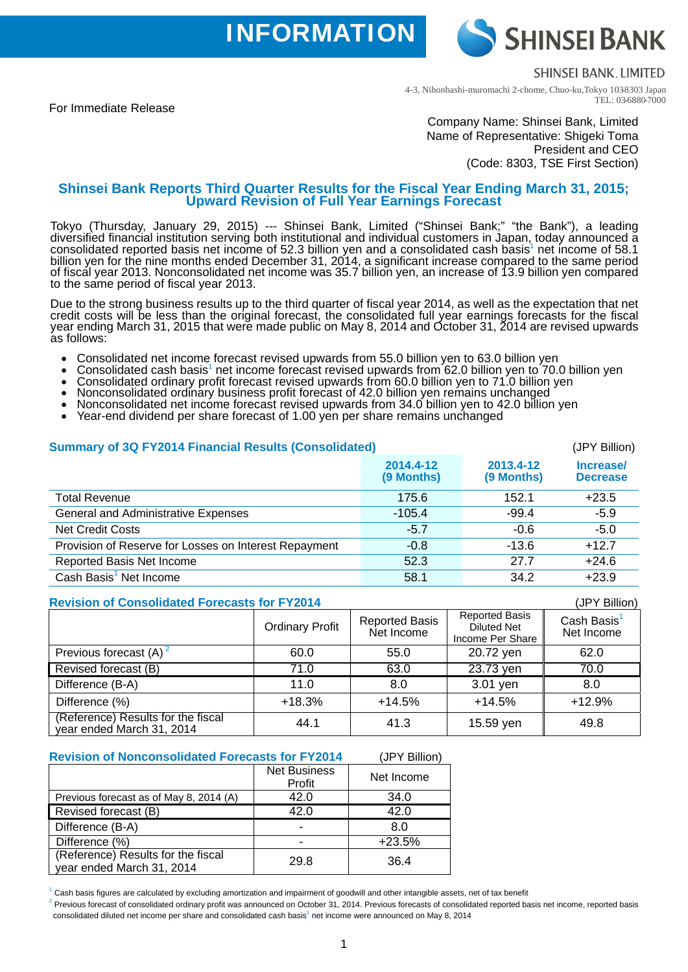**INFORMATION** 

**SHINSEI BANK** 

**SHINSELBANK LIMITED** 

For Immediate Release

4-3, Nihonbashi-muromachi 2-chome, Chuo-ku,Tokyo 103-8303 Japan TEL: 03-6880-7000

## Company Name: Shinsei Bank, Limited Name of Representative: Shigeki Toma President and CEO (Code: 8303, TSE First Section)

# **Shinsei Bank Reports Third Quarter Results for the Fiscal Year Ending March 31, 2015; Upward Revision of Full Year Earnings Forecast**

Tokyo (Thursday, January 29, 2015) --- Shinsei Bank, Limited ("Shinsei Bank;" "the Bank"), a leading diversified financial institution serving both institutional and individual customers in Japan, today announced a consolidated reported basis net income of 52.3 billion yen and a consolidated cash basis<sup>1</sup> net income of 58.1 billion yen for the nine months ended December 31, 2014, a significant increase compared to the same period of fiscal year 2013. Nonconsolidated net income was 35.7 billion yen, an increase of 13.9 billion yen compared to the same period of fiscal year 2013.

Due to the strong business results up to the third quarter of fiscal year 2014, as well as the expectation that net credit costs will be less than the original forecast, the consolidated full year earnings forecasts for the fiscal year ending March 31, 2015 that were made public on May 8, 2014 and October 31, 2014 are revised upwards as follows:

- 
- Consolidated net income forecast revised upwards from 55.0 billion yen to 63.0 billion yen to 70.<br>Consolidated cash basis<sup>1</sup> net income forecast revised upwards from 62.0 billion yen to 70.
- 
- 
- Consolidated cash basis<sup>1</sup> net income forecast revised upwards from 62.0 billion yen to 70.0 billion yen<br>• Consolidated ordinary profit forecast revised upwards from 60.0 billion yen to 71.0 billion yen<br>• Nonconsolidated
- 

## **Summary of 3Q FY2014 Financial Results (Consolidated)** (JPY Billion)

|                                                       | 2014.4-12<br>(9 Months) | 2013.4-12<br>(9 Months) | Increase/<br><b>Decrease</b> |
|-------------------------------------------------------|-------------------------|-------------------------|------------------------------|
| <b>Total Revenue</b>                                  | 175.6                   | 152.1                   | $+23.5$                      |
| <b>General and Administrative Expenses</b>            | $-105.4$                | $-99.4$                 | $-5.9$                       |
| <b>Net Credit Costs</b>                               | $-5.7$                  | $-0.6$                  | $-5.0$                       |
| Provision of Reserve for Losses on Interest Repayment | $-0.8$                  | $-13.6$                 | $+12.7$                      |
| Reported Basis Net Income                             | 52.3                    | 27.7                    | $+24.6$                      |
| Cash Basis <sup>1</sup> Net Income                    | 58.1                    | 34.2                    | $+23.9$                      |

## **Revision of Consolidated Forecasts for FY2014** (JPY Billion)

|                                                                 | <b>Ordinary Profit</b> | <b>Reported Basis</b><br>Net Income | <b>Reported Basis</b><br><b>Diluted Net</b><br>Income Per Share | Cash Basis <sup>1</sup><br>Net Income |
|-----------------------------------------------------------------|------------------------|-------------------------------------|-----------------------------------------------------------------|---------------------------------------|
| Previous forecast $(A)^2$                                       | 60.0                   | 55.0                                | 20.72 yen                                                       | 62.0                                  |
| Revised forecast (B)                                            | 71.0                   | 63.0                                | 23.73 yen                                                       | 70.0                                  |
| Difference (B-A)                                                | 11.0                   | 8.0                                 | 3.01 yen                                                        | 8.0                                   |
| Difference (%)                                                  | $+18.3%$               | $+14.5%$                            | $+14.5%$                                                        | $+12.9%$                              |
| (Reference) Results for the fiscal<br>year ended March 31, 2014 | 44.1                   | 41.3                                | 15.59 yen                                                       | 49.8                                  |

#### **Revision of Nonconsolidated Forecasts for FY2014** (JPY Billion)

|                                                                 | <b>Net Business</b><br>Profit | Net Income |
|-----------------------------------------------------------------|-------------------------------|------------|
| Previous forecast as of May 8, 2014 (A)                         | 42.0                          | 34.0       |
| Revised forecast (B)                                            | 42.0                          | 42.0       |
| Difference (B-A)                                                |                               | 8.0        |
| Difference (%)                                                  |                               | $+23.5%$   |
| (Reference) Results for the fiscal<br>year ended March 31, 2014 | 29.8                          | 36.4       |

 $^1$  Cash basis figures are calculated by excluding amortization and impairment of goodwill and other intangible assets, net of tax benefit<br><sup>2</sup> Previous forecast of consolidated ordinary profit was announced on October 31

consolidated diluted net income per share and consolidated cash basis<sup>1</sup> net income were announced on May 8, 2014